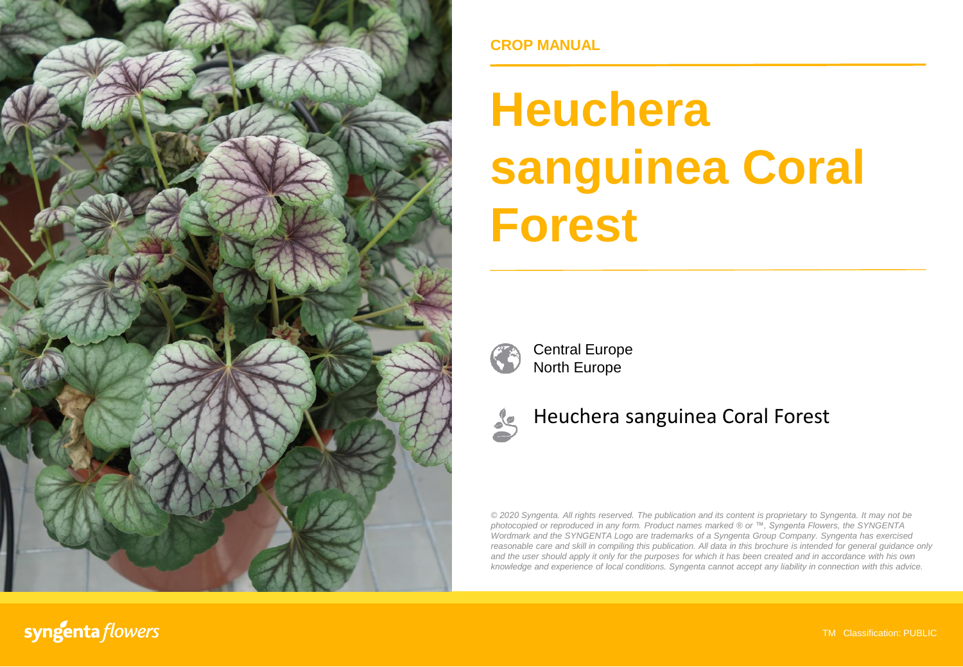

**CROP MANUAL**

# **Heuchera sanguinea Coral Forest**



Central Europe North Europe



## Heuchera sanguinea Coral Forest

*© 2020 Syngenta. All rights reserved. The publication and its content is proprietary to Syngenta. It may not be photocopied or reproduced in any form. Product names marked ® or ™, Syngenta Flowers, the SYNGENTA Wordmark and the SYNGENTA Logo are trademarks of a Syngenta Group Company. Syngenta has exercised reasonable care and skill in compiling this publication. All data in this brochure is intended for general guidance only* and the user should apply it only for the purposes for which it has been created and in accordance with his own *knowledge and experience of local conditions. Syngenta cannot accept any liability in connection with this advice.*

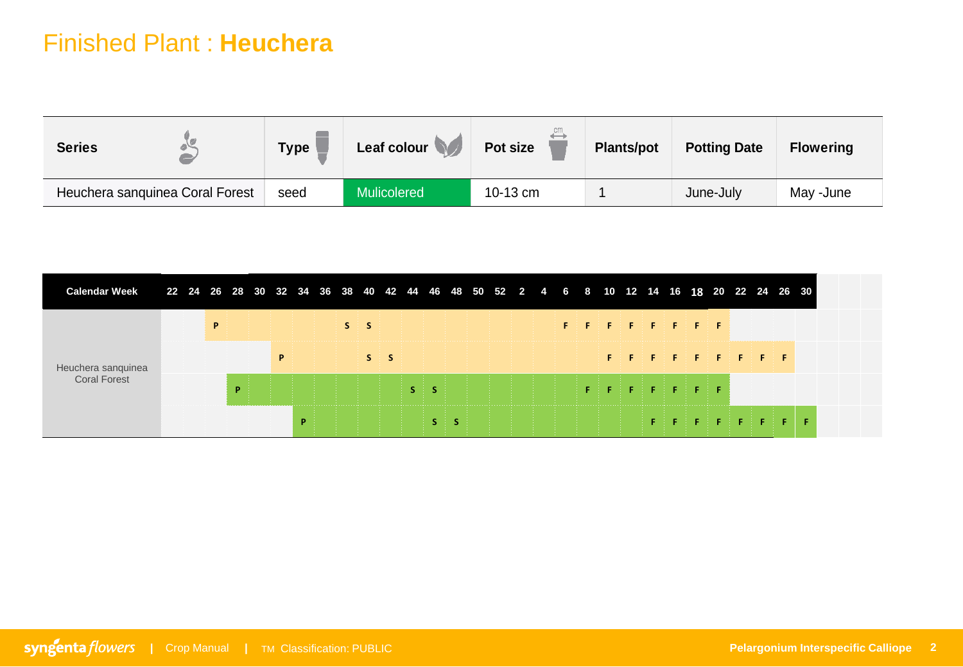| <b>Series</b>                   | <b>Type</b> | Leaf colour<br>$\sqrt{}$ | $\leftrightarrow$<br><b>Pot size</b> | <b>Plants/pot</b> | <b>Potting Date</b> | <b>Flowering</b> |
|---------------------------------|-------------|--------------------------|--------------------------------------|-------------------|---------------------|------------------|
| Heuchera sanguinea Coral Forest | seed        | <b>Mulicolered</b>       | 10-13 cm                             |                   | June-July           | May -June        |

| <b>Calendar Week</b>               |  |   |  |   | 22 24 26 28 30 32 34 36 38 40 42 44 46 48 50 52 2 4 6 8 10 12 14 16 18 20 22 24 26 30 |       |       |  |  |  |  |                              |  |  |                               |  |  |  |  |
|------------------------------------|--|---|--|---|---------------------------------------------------------------------------------------|-------|-------|--|--|--|--|------------------------------|--|--|-------------------------------|--|--|--|--|
| Heuchera sanquinea<br>Coral Forest |  | P |  |   |                                                                                       | $S_S$ |       |  |  |  |  | <b>INFORMED FOR SERVER F</b> |  |  |                               |  |  |  |  |
|                                    |  |   |  | P |                                                                                       |       | $S_S$ |  |  |  |  |                              |  |  | ESTERN FRIEDER FRIEDER FRIEDE |  |  |  |  |
|                                    |  |   |  |   |                                                                                       |       |       |  |  |  |  |                              |  |  |                               |  |  |  |  |
|                                    |  |   |  |   |                                                                                       |       |       |  |  |  |  |                              |  |  |                               |  |  |  |  |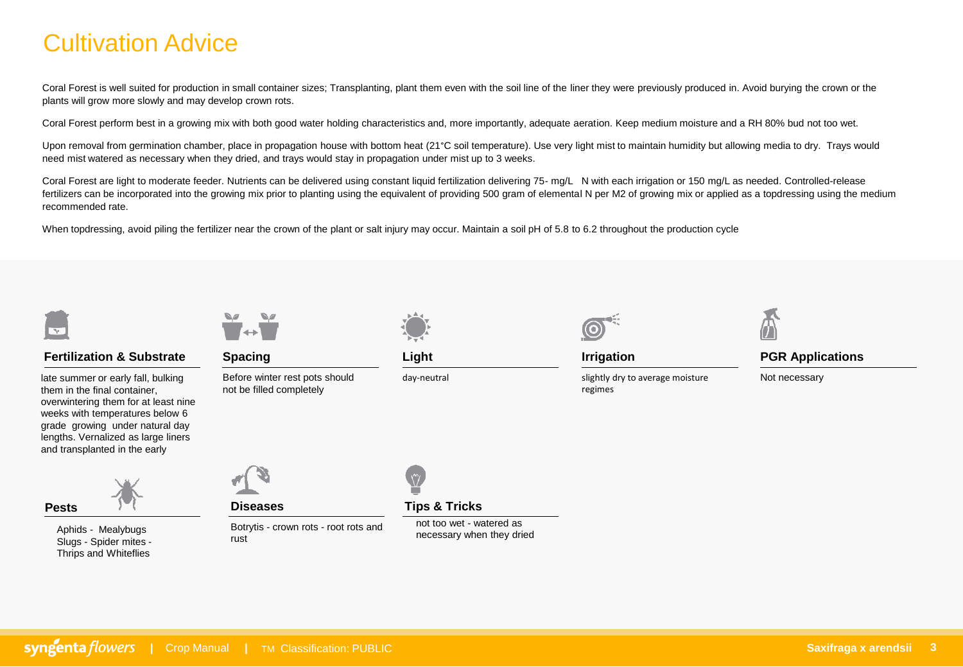## Cultivation Advice

Coral Forest is well suited for production in small container sizes; Transplanting, plant them even with the soil line of the liner they were previously produced in. Avoid burying the crown or the plants will grow more slowly and may develop crown rots.

Coral Forest perform best in a growing mix with both good water holding characteristics and, more importantly, adequate aeration. Keep medium moisture and a RH 80% bud not too wet.

Upon removal from germination chamber, place in propagation house with bottom heat (21°C soil temperature). Use very light mist to maintain humidity but allowing media to dry. Trays would need mist watered as necessary when they dried, and trays would stay in propagation under mist up to 3 weeks.

Coral Forest are light to moderate feeder. Nutrients can be delivered using constant liquid fertilization delivering 75- mg/L N with each irrigation or 150 mg/L as needed. Controlled-release fertilizers can be incorporated into the growing mix prior to planting using the equivalent of providing 500 gram of elemental N per M2 of growing mix or applied as a topdressing using the medium recommended rate.

When topdressing, avoid piling the fertilizer near the crown of the plant or salt injury may occur. Maintain a soil pH of 5.8 to 6.2 throughout the production cycle



### **Fertilization & Substrate**

late summer or early fall, bulking them in the final container, overwintering them for at least nine weeks with temperatures below 6 grade growing under natural day lengths. Vernalized as large liners and transplanted in the early

> Aphids - Mealybugs Slugs - Spider mites - Thrips and Whiteflies



**Spacing**

Before winter rest pots should not be filled completely



**Pests Diseases**

Botrytis - crown rots - root rots and rust



**Light**

day-neutral



regimes

**Irrigation**

slightly dry to average moisture



**PGR Applications**

Not necessary

**Tips & Tricks**

not too wet - watered as necessary when they dried